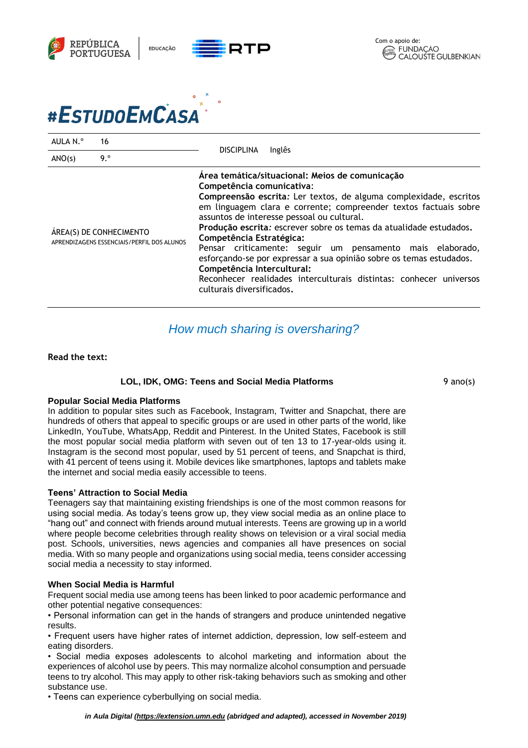



| AULA N.º                                                              | 16  | <b>DISCIPLINA</b><br>Inglês                                                                                                                                                                                                                                                                                                                                                                                                                                                                                                                                                                                                                |
|-----------------------------------------------------------------------|-----|--------------------------------------------------------------------------------------------------------------------------------------------------------------------------------------------------------------------------------------------------------------------------------------------------------------------------------------------------------------------------------------------------------------------------------------------------------------------------------------------------------------------------------------------------------------------------------------------------------------------------------------------|
| ANO(s)                                                                | 9.° |                                                                                                                                                                                                                                                                                                                                                                                                                                                                                                                                                                                                                                            |
| ÁREA(S) DE CONHECIMENTO<br>APRENDIZAGENS ESSENCIAIS/PERFIL DOS ALUNOS |     | Área temática/situacional: Meios de comunicação<br>Competência comunicativa:<br>Compreensão escrita: Ler textos, de alguma complexidade, escritos<br>em linguagem clara e corrente; compreender textos factuais sobre<br>assuntos de interesse pessoal ou cultural.<br>Produção escrita: escrever sobre os temas da atualidade estudados.<br>Competência Estratégica:<br>Pensar criticamente: seguir um pensamento mais elaborado,<br>esforçando-se por expressar a sua opinião sobre os temas estudados.<br>Competência Intercultural:<br>Reconhecer realidades interculturais distintas: conhecer universos<br>culturais diversificados. |

# *How much sharing is oversharing?*

#### **Read the text:**

#### **LOL, IDK, OMG: Teens and Social Media Platforms**

9 ano(s)

# **Popular Social Media Platforms**

In addition to popular sites such as Facebook, Instagram, Twitter and Snapchat, there are hundreds of others that appeal to specific groups or are used in other parts of the world, like LinkedIn, YouTube, WhatsApp, Reddit and Pinterest. In the United States, Facebook is still the most popular social media platform with seven out of ten 13 to 17-year-olds using it. Instagram is the second most popular, used by 51 percent of teens, and Snapchat is third, with 41 percent of teens using it. Mobile devices like smartphones, laptops and tablets make the internet and social media easily accessible to teens.

#### **Teens' Attraction to Social Media**

Teenagers say that maintaining existing friendships is one of the most common reasons for using social media. As today's teens grow up, they view social media as an online place to "hang out" and connect with friends around mutual interests. Teens are growing up in a world where people become celebrities through reality shows on television or a viral social media post. Schools, universities, news agencies and companies all have presences on social media. With so many people and organizations using social media, teens consider accessing social media a necessity to stay informed.

# **When Social Media is Harmful**

Frequent social media use among teens has been linked to poor academic performance and other potential negative consequences:

• Personal information can get in the hands of strangers and produce unintended negative results.

• Frequent users have higher rates of internet addiction, depression, low self-esteem and eating disorders.

• Social media exposes adolescents to alcohol marketing and information about the experiences of alcohol use by peers. This may normalize alcohol consumption and persuade teens to try alcohol. This may apply to other risk-taking behaviors such as smoking and other substance use.

• Teens can experience cyberbullying on social media.